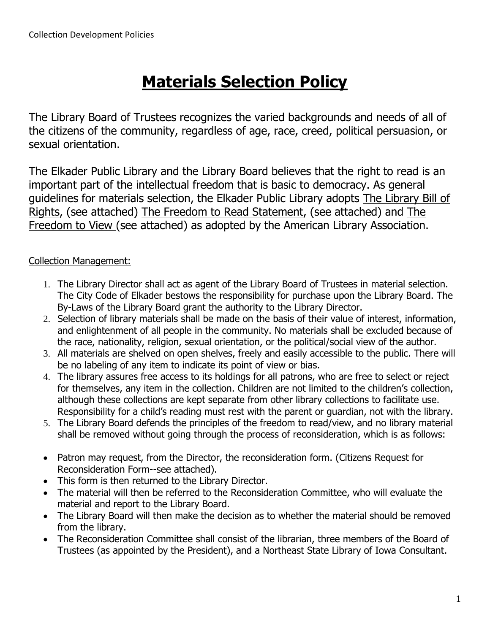### **Materials Selection Policy**

The Library Board of Trustees recognizes the varied backgrounds and needs of all of the citizens of the community, regardless of age, race, creed, political persuasion, or sexual orientation.

The Elkader Public Library and the Library Board believes that the right to read is an important part of the intellectual freedom that is basic to democracy. As general guidelines for materials selection, the Elkader Public Library adopts The Library Bill of Rights, (see attached) The Freedom to Read Statement, (see attached) and The Freedom to View (see attached) as adopted by the American Library Association.

### Collection Management:

- 1. The Library Director shall act as agent of the Library Board of Trustees in material selection. The City Code of Elkader bestows the responsibility for purchase upon the Library Board. The By-Laws of the Library Board grant the authority to the Library Director.
- 2. Selection of library materials shall be made on the basis of their value of interest, information, and enlightenment of all people in the community. No materials shall be excluded because of the race, nationality, religion, sexual orientation, or the political/social view of the author.
- 3. All materials are shelved on open shelves, freely and easily accessible to the public. There will be no labeling of any item to indicate its point of view or bias.
- 4. The library assures free access to its holdings for all patrons, who are free to select or reject for themselves, any item in the collection. Children are not limited to the children's collection, although these collections are kept separate from other library collections to facilitate use. Responsibility for a child's reading must rest with the parent or guardian, not with the library.
- 5. The Library Board defends the principles of the freedom to read/view, and no library material shall be removed without going through the process of reconsideration, which is as follows:
- Patron may request, from the Director, the reconsideration form. (Citizens Request for Reconsideration Form--see attached).
- This form is then returned to the Library Director.
- The material will then be referred to the Reconsideration Committee, who will evaluate the material and report to the Library Board.
- The Library Board will then make the decision as to whether the material should be removed from the library.
- The Reconsideration Committee shall consist of the librarian, three members of the Board of Trustees (as appointed by the President), and a Northeast State Library of Iowa Consultant.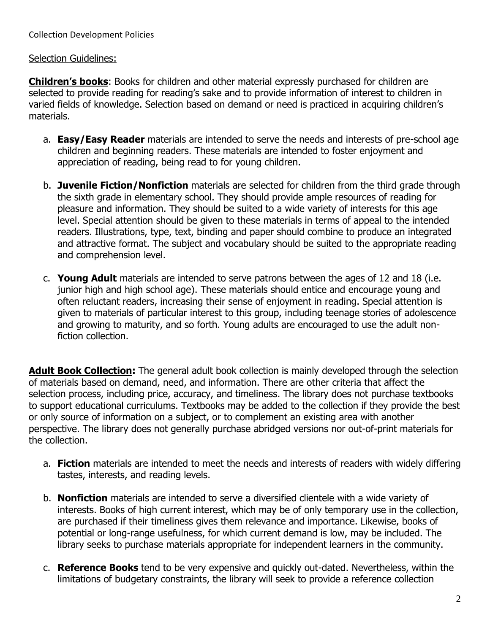Collection Development Policies

#### Selection Guidelines:

**Children's books**: Books for children and other material expressly purchased for children are selected to provide reading for reading's sake and to provide information of interest to children in varied fields of knowledge. Selection based on demand or need is practiced in acquiring children's materials.

- a. **Easy/Easy Reader** materials are intended to serve the needs and interests of pre-school age children and beginning readers. These materials are intended to foster enjoyment and appreciation of reading, being read to for young children.
- b. **Juvenile Fiction/Nonfiction** materials are selected for children from the third grade through the sixth grade in elementary school. They should provide ample resources of reading for pleasure and information. They should be suited to a wide variety of interests for this age level. Special attention should be given to these materials in terms of appeal to the intended readers. Illustrations, type, text, binding and paper should combine to produce an integrated and attractive format. The subject and vocabulary should be suited to the appropriate reading and comprehension level.
- c. **Young Adult** materials are intended to serve patrons between the ages of 12 and 18 (i.e. junior high and high school age). These materials should entice and encourage young and often reluctant readers, increasing their sense of enjoyment in reading. Special attention is given to materials of particular interest to this group, including teenage stories of adolescence and growing to maturity, and so forth. Young adults are encouraged to use the adult nonfiction collection.

**Adult Book Collection:** The general adult book collection is mainly developed through the selection of materials based on demand, need, and information. There are other criteria that affect the selection process, including price, accuracy, and timeliness. The library does not purchase textbooks to support educational curriculums. Textbooks may be added to the collection if they provide the best or only source of information on a subject, or to complement an existing area with another perspective. The library does not generally purchase abridged versions nor out-of-print materials for the collection.

- a. **Fiction** materials are intended to meet the needs and interests of readers with widely differing tastes, interests, and reading levels.
- b. **Nonfiction** materials are intended to serve a diversified clientele with a wide variety of interests. Books of high current interest, which may be of only temporary use in the collection, are purchased if their timeliness gives them relevance and importance. Likewise, books of potential or long-range usefulness, for which current demand is low, may be included. The library seeks to purchase materials appropriate for independent learners in the community.
- c. **Reference Books** tend to be very expensive and quickly out-dated. Nevertheless, within the limitations of budgetary constraints, the library will seek to provide a reference collection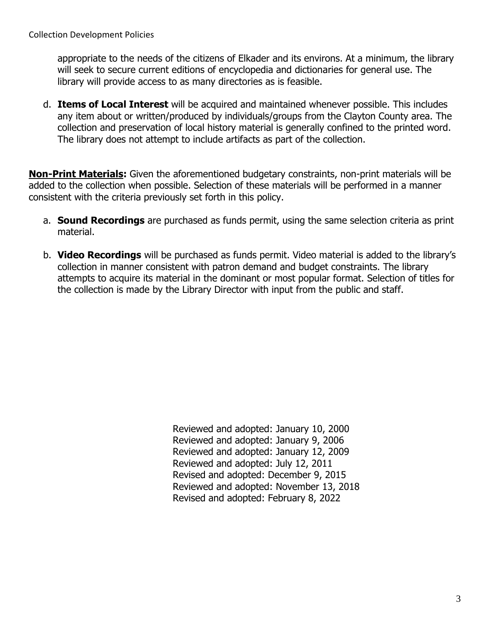Collection Development Policies

appropriate to the needs of the citizens of Elkader and its environs. At a minimum, the library will seek to secure current editions of encyclopedia and dictionaries for general use. The library will provide access to as many directories as is feasible.

d. **Items of Local Interest** will be acquired and maintained whenever possible. This includes any item about or written/produced by individuals/groups from the Clayton County area. The collection and preservation of local history material is generally confined to the printed word. The library does not attempt to include artifacts as part of the collection.

**Non-Print Materials:** Given the aforementioned budgetary constraints, non-print materials will be added to the collection when possible. Selection of these materials will be performed in a manner consistent with the criteria previously set forth in this policy.

- a. **Sound Recordings** are purchased as funds permit, using the same selection criteria as print material.
- b. **Video Recordings** will be purchased as funds permit. Video material is added to the library's collection in manner consistent with patron demand and budget constraints. The library attempts to acquire its material in the dominant or most popular format. Selection of titles for the collection is made by the Library Director with input from the public and staff.

Reviewed and adopted: January 10, 2000 Reviewed and adopted: January 9, 2006 Reviewed and adopted: January 12, 2009 Reviewed and adopted: July 12, 2011 Revised and adopted: December 9, 2015 Reviewed and adopted: November 13, 2018 Revised and adopted: February 8, 2022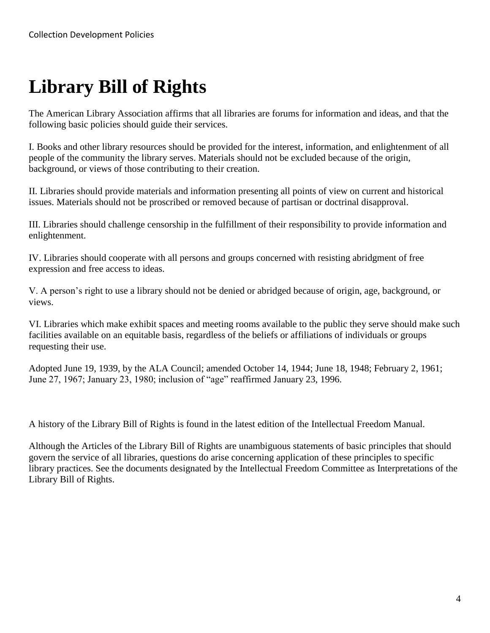# **Library Bill of Rights**

The American Library Association affirms that all libraries are forums for information and ideas, and that the following basic policies should guide their services.

I. Books and other library resources should be provided for the interest, information, and enlightenment of all people of the community the library serves. Materials should not be excluded because of the origin, background, or views of those contributing to their creation.

II. Libraries should provide materials and information presenting all points of view on current and historical issues. Materials should not be proscribed or removed because of partisan or doctrinal disapproval.

III. Libraries should challenge censorship in the fulfillment of their responsibility to provide information and enlightenment.

IV. Libraries should cooperate with all persons and groups concerned with resisting abridgment of free expression and free access to ideas.

V. A person's right to use a library should not be denied or abridged because of origin, age, background, or views.

VI. Libraries which make exhibit spaces and meeting rooms available to the public they serve should make such facilities available on an equitable basis, regardless of the beliefs or affiliations of individuals or groups requesting their use.

Adopted June 19, 1939, by the ALA Council; amended October 14, 1944; June 18, 1948; February 2, 1961; June 27, 1967; January 23, 1980; inclusion of "age" reaffirmed January 23, 1996.

A history of the Library Bill of Rights is found in the latest edition of the Intellectual Freedom Manual.

Although the Articles of the Library Bill of Rights are unambiguous statements of basic principles that should govern the service of all libraries, questions do arise concerning application of these principles to specific library practices. See the documents designated by the Intellectual Freedom Committee as Interpretations of the Library Bill of Rights.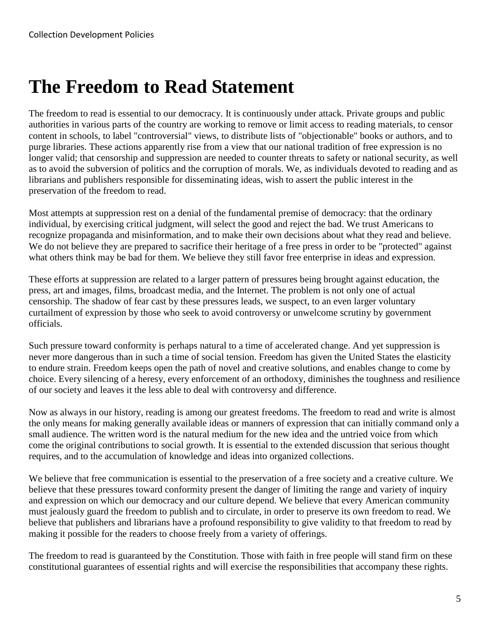## **The Freedom to Read Statement**

The freedom to read is essential to our democracy. It is continuously under attack. Private groups and public authorities in various parts of the country are working to remove or limit access to reading materials, to censor content in schools, to label "controversial" views, to distribute lists of "objectionable" books or authors, and to purge libraries. These actions apparently rise from a view that our national tradition of free expression is no longer valid; that censorship and suppression are needed to counter threats to safety or national security, as well as to avoid the subversion of politics and the corruption of morals. We, as individuals devoted to reading and as librarians and publishers responsible for disseminating ideas, wish to assert the public interest in the preservation of the freedom to read.

Most attempts at suppression rest on a denial of the fundamental premise of democracy: that the ordinary individual, by exercising critical judgment, will select the good and reject the bad. We trust Americans to recognize propaganda and misinformation, and to make their own decisions about what they read and believe. We do not believe they are prepared to sacrifice their heritage of a free press in order to be "protected" against what others think may be bad for them. We believe they still favor free enterprise in ideas and expression.

These efforts at suppression are related to a larger pattern of pressures being brought against education, the press, art and images, films, broadcast media, and the Internet. The problem is not only one of actual censorship. The shadow of fear cast by these pressures leads, we suspect, to an even larger voluntary curtailment of expression by those who seek to avoid controversy or unwelcome scrutiny by government officials.

Such pressure toward conformity is perhaps natural to a time of accelerated change. And yet suppression is never more dangerous than in such a time of social tension. Freedom has given the United States the elasticity to endure strain. Freedom keeps open the path of novel and creative solutions, and enables change to come by choice. Every silencing of a heresy, every enforcement of an orthodoxy, diminishes the toughness and resilience of our society and leaves it the less able to deal with controversy and difference.

Now as always in our history, reading is among our greatest freedoms. The freedom to read and write is almost the only means for making generally available ideas or manners of expression that can initially command only a small audience. The written word is the natural medium for the new idea and the untried voice from which come the original contributions to social growth. It is essential to the extended discussion that serious thought requires, and to the accumulation of knowledge and ideas into organized collections.

We believe that free communication is essential to the preservation of a free society and a creative culture. We believe that these pressures toward conformity present the danger of limiting the range and variety of inquiry and expression on which our democracy and our culture depend. We believe that every American community must jealously guard the freedom to publish and to circulate, in order to preserve its own freedom to read. We believe that publishers and librarians have a profound responsibility to give validity to that freedom to read by making it possible for the readers to choose freely from a variety of offerings.

The freedom to read is guaranteed by the Constitution. Those with faith in free people will stand firm on these constitutional guarantees of essential rights and will exercise the responsibilities that accompany these rights.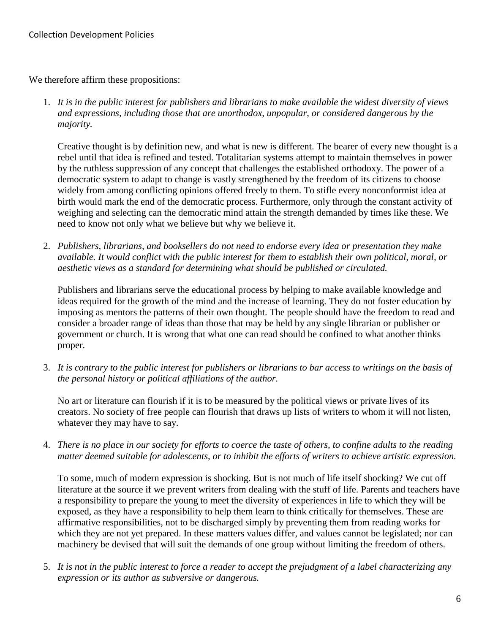We therefore affirm these propositions:

1. *It is in the public interest for publishers and librarians to make available the widest diversity of views and expressions, including those that are unorthodox, unpopular, or considered dangerous by the majority.*

Creative thought is by definition new, and what is new is different. The bearer of every new thought is a rebel until that idea is refined and tested. Totalitarian systems attempt to maintain themselves in power by the ruthless suppression of any concept that challenges the established orthodoxy. The power of a democratic system to adapt to change is vastly strengthened by the freedom of its citizens to choose widely from among conflicting opinions offered freely to them. To stifle every nonconformist idea at birth would mark the end of the democratic process. Furthermore, only through the constant activity of weighing and selecting can the democratic mind attain the strength demanded by times like these. We need to know not only what we believe but why we believe it.

2. *Publishers, librarians, and booksellers do not need to endorse every idea or presentation they make available. It would conflict with the public interest for them to establish their own political, moral, or aesthetic views as a standard for determining what should be published or circulated.*

Publishers and librarians serve the educational process by helping to make available knowledge and ideas required for the growth of the mind and the increase of learning. They do not foster education by imposing as mentors the patterns of their own thought. The people should have the freedom to read and consider a broader range of ideas than those that may be held by any single librarian or publisher or government or church. It is wrong that what one can read should be confined to what another thinks proper.

3. *It is contrary to the public interest for publishers or librarians to bar access to writings on the basis of the personal history or political affiliations of the author.*

No art or literature can flourish if it is to be measured by the political views or private lives of its creators. No society of free people can flourish that draws up lists of writers to whom it will not listen, whatever they may have to say.

4. *There is no place in our society for efforts to coerce the taste of others, to confine adults to the reading matter deemed suitable for adolescents, or to inhibit the efforts of writers to achieve artistic expression.*

To some, much of modern expression is shocking. But is not much of life itself shocking? We cut off literature at the source if we prevent writers from dealing with the stuff of life. Parents and teachers have a responsibility to prepare the young to meet the diversity of experiences in life to which they will be exposed, as they have a responsibility to help them learn to think critically for themselves. These are affirmative responsibilities, not to be discharged simply by preventing them from reading works for which they are not yet prepared. In these matters values differ, and values cannot be legislated; nor can machinery be devised that will suit the demands of one group without limiting the freedom of others.

5. *It is not in the public interest to force a reader to accept the prejudgment of a label characterizing any expression or its author as subversive or dangerous.*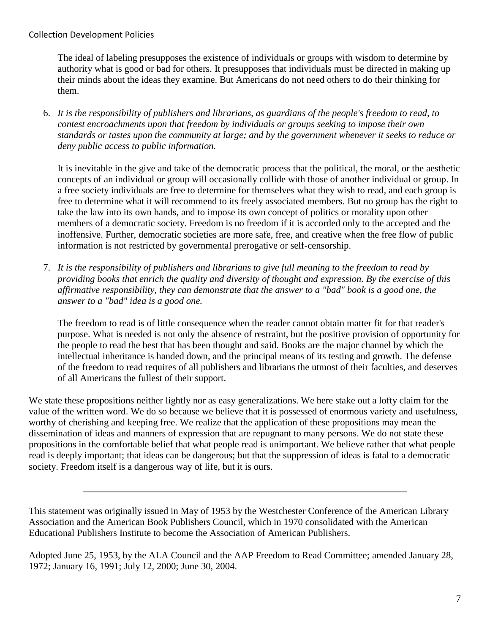Collection Development Policies

The ideal of labeling presupposes the existence of individuals or groups with wisdom to determine by authority what is good or bad for others. It presupposes that individuals must be directed in making up their minds about the ideas they examine. But Americans do not need others to do their thinking for them.

6. *It is the responsibility of publishers and librarians, as guardians of the people's freedom to read, to contest encroachments upon that freedom by individuals or groups seeking to impose their own standards or tastes upon the community at large; and by the government whenever it seeks to reduce or deny public access to public information.*

It is inevitable in the give and take of the democratic process that the political, the moral, or the aesthetic concepts of an individual or group will occasionally collide with those of another individual or group. In a free society individuals are free to determine for themselves what they wish to read, and each group is free to determine what it will recommend to its freely associated members. But no group has the right to take the law into its own hands, and to impose its own concept of politics or morality upon other members of a democratic society. Freedom is no freedom if it is accorded only to the accepted and the inoffensive. Further, democratic societies are more safe, free, and creative when the free flow of public information is not restricted by governmental prerogative or self-censorship.

7. *It is the responsibility of publishers and librarians to give full meaning to the freedom to read by providing books that enrich the quality and diversity of thought and expression. By the exercise of this affirmative responsibility, they can demonstrate that the answer to a "bad" book is a good one, the answer to a "bad" idea is a good one.*

The freedom to read is of little consequence when the reader cannot obtain matter fit for that reader's purpose. What is needed is not only the absence of restraint, but the positive provision of opportunity for the people to read the best that has been thought and said. Books are the major channel by which the intellectual inheritance is handed down, and the principal means of its testing and growth. The defense of the freedom to read requires of all publishers and librarians the utmost of their faculties, and deserves of all Americans the fullest of their support.

We state these propositions neither lightly nor as easy generalizations. We here stake out a lofty claim for the value of the written word. We do so because we believe that it is possessed of enormous variety and usefulness, worthy of cherishing and keeping free. We realize that the application of these propositions may mean the dissemination of ideas and manners of expression that are repugnant to many persons. We do not state these propositions in the comfortable belief that what people read is unimportant. We believe rather that what people read is deeply important; that ideas can be dangerous; but that the suppression of ideas is fatal to a democratic society. Freedom itself is a dangerous way of life, but it is ours.

This statement was originally issued in May of 1953 by the Westchester Conference of the American Library Association and the American Book Publishers Council, which in 1970 consolidated with the American Educational Publishers Institute to become the Association of American Publishers.

Adopted June 25, 1953, by the ALA Council and the AAP Freedom to Read Committee; amended January 28, 1972; January 16, 1991; July 12, 2000; June 30, 2004.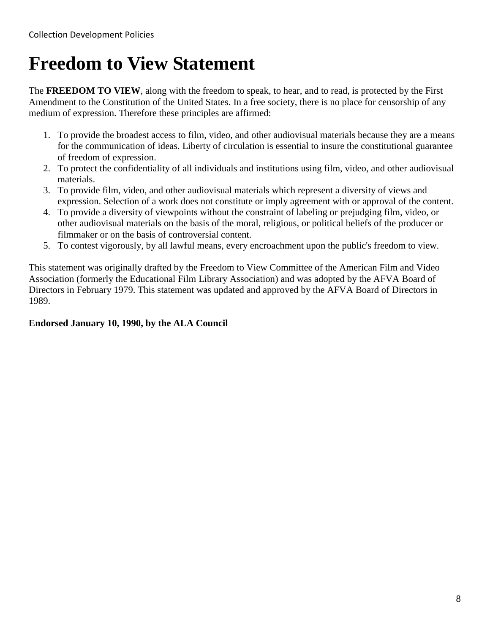# **Freedom to View Statement**

The **FREEDOM TO VIEW**, along with the freedom to speak, to hear, and to read, is protected by the First Amendment to the Constitution of the United States. In a free society, there is no place for censorship of any medium of expression. Therefore these principles are affirmed:

- 1. To provide the broadest access to film, video, and other audiovisual materials because they are a means for the communication of ideas. Liberty of circulation is essential to insure the constitutional guarantee of freedom of expression.
- 2. To protect the confidentiality of all individuals and institutions using film, video, and other audiovisual materials.
- 3. To provide film, video, and other audiovisual materials which represent a diversity of views and expression. Selection of a work does not constitute or imply agreement with or approval of the content.
- 4. To provide a diversity of viewpoints without the constraint of labeling or prejudging film, video, or other audiovisual materials on the basis of the moral, religious, or political beliefs of the producer or filmmaker or on the basis of controversial content.
- 5. To contest vigorously, by all lawful means, every encroachment upon the public's freedom to view.

This statement was originally drafted by the Freedom to View Committee of the American Film and Video Association (formerly the Educational Film Library Association) and was adopted by the AFVA Board of Directors in February 1979. This statement was updated and approved by the AFVA Board of Directors in 1989.

#### **Endorsed January 10, 1990, by the ALA Council**